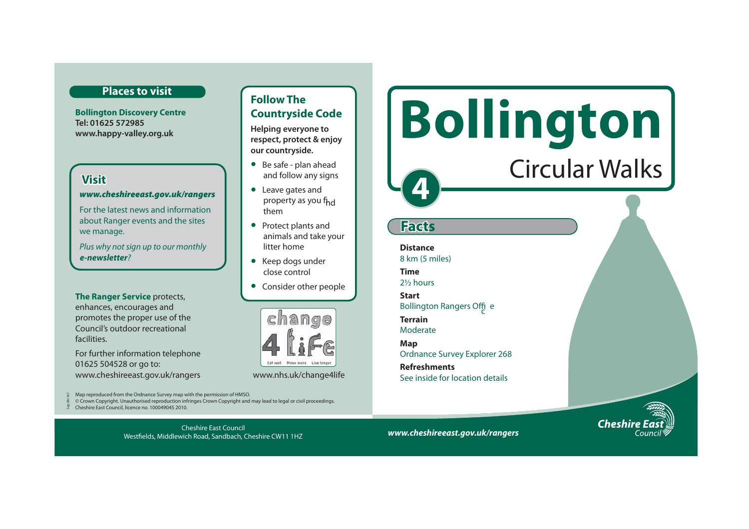### **Places to visit**

**Bollington Discovery Centre Tel: 01625 572985 www.happy-valley.org.uk** 

# **Visit**

#### *www.cheshireeast.gov.uk/rangers*

For the latest news and information about Ranger events and the sites we manage.

Plus why not sign up to our monthly *e-newsletter*?

**The Ranger Service** protects, enhances, encourages and promotes the proper use of the Council's outdoor recreational facilities.

For further information telephone 01625 504528 or go to: www.cheshireeast.gov.uk/rangers www.nhs.uk/change4life

Map reproduced from the Ordnance Survey map with the permission of HMSO. Sep 09/167

© Crown Copyright. Unauthorised reproduction infringes Crown Copyright and may lead to legal or civil proceedings.

Cheshire East Council Westfields, Middlewich Road, Sandbach, Cheshire CW11 1HZ

Cheshire East Council, licence no. 100049045 2010.

**Example 20 EXCOMPLE SOFTE Follow The Countryside Code** 

**Helping everyone to respect, protect & enjoy our countryside.**

- Be safe plan ahead and follow any signs
- Leave gates and property as you f<sub>hd</sub> them
- Protect plants and animals and take your litter home
- Keep dogs under close control
- Consider other people





Circular Walks

*www.cheshireeast.gov.uk/rangers*

Bollington Rangers Offi<sub>c</sub>e

Ordnance Survey Explorer 268

See inside for location details

**4** 

**Facts**

**Distance** 8 km (5 miles)

**Time** 2½ hours **Start** 

**Terrain** Moderate **Map** 

**Refreshments**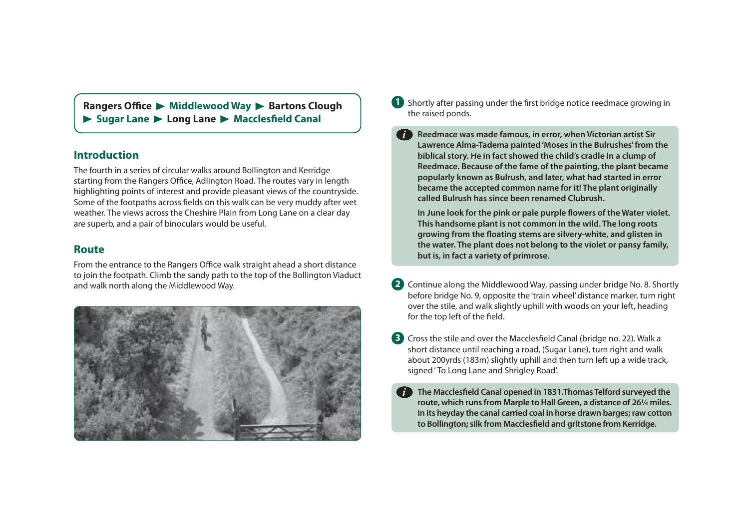**Rangers Office**  $\triangleright$  **Middlewood Way**  $\triangleright$  **Bartons Clough** Sugar Lane **Long Lane And Macclesfield Canal** 

## **Introduction**

The fourth in a series of circular walks around Bollington and Kerridge starting from the Rangers Office, Adlington Road. The routes vary in length highlighting points of interest and provide pleasant views of the countryside. Some of the footpaths across fields on this walk can be very muddy after wet weather. The views across the Cheshire Plain from Long Lane on a clear day are superb, and a pair of binoculars would be useful.

#### **Route**

From the entrance to the Rangers Office walk straight ahead a short distance to join the footpath. Climb the sandy path to the top of the Bollington Viaduct and walk north along the Middlewood Way.



**1** Shortly after passing under the first bridge notice reedmace growing in the raised ponds.

*i*

**Reedmace was made famous, in error, when Victorian artist Sir Lawrence Alma-Tadema painted 'Moses in the Bulrushes' from the biblical story. He in fact showed the child's cradle in a clump of Reedmace. Because of the fame of the painting, the plant became popularly known as Bulrush, and later, what had started in error became the accepted common name for it! The plant originally called Bulrush has since been renamed Clubrush.** 

**In June look for the pink or pale purple flowers of the Water violet. This handsome plant is not common in the wild. The long roots growing from the floating stems are silvery-white, and glisten in the water. The plant does not belong to the violet or pansy family, but is, in fact a variety of primrose.** 

- **2**  Continue along the Middlewood Way, passing under bridge No. 8. Shortly before bridge No. 9, opposite the 'train wheel' distance marker, turn right over the stile, and walk slightly uphill with woods on your left, heading for the top left of the field.
- **3**  Cross the stile and over the Macclesfield Canal (bridge no. 22). Walk a short distance until reaching a road, (Sugar Lane), turn right and walk about 200yrds (183m) slightly uphill and then turn left up a wide track, signed ' To Long Lane and Shrigley Road'.
- **The Macclesfield Canal opened in 1831.Thomas Telford surveyed the route, which runs from Marple to Hall Green, a distance of 26¼ miles. In its heyday the canal carried coal in horse drawn barges; raw cotton to Bollington; silk from Macclesfield and gritstone from Kerridge.**  *i*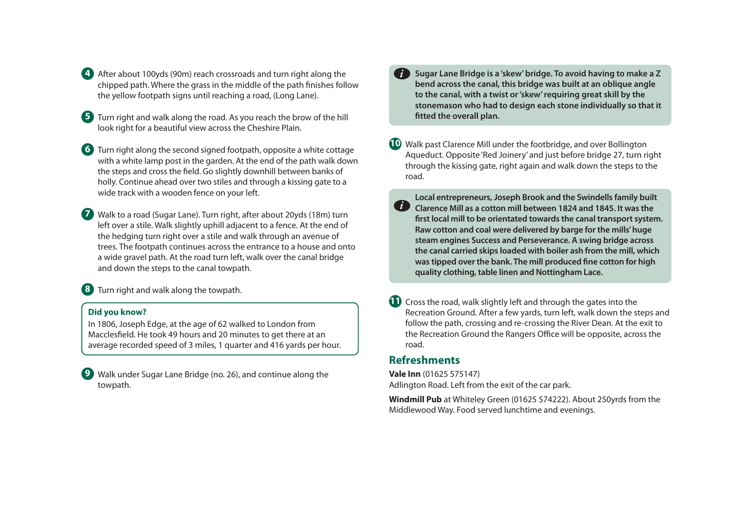- **4**  After about 100yds (90m) reach crossroads and turn right along the chipped path. Where the grass in the middle of the path finishes follow the yellow footpath signs until reaching a road, (Long Lane).
- **5**  Turn right and walk along the road. As you reach the brow of the hill look right for a beautiful view across the Cheshire Plain.
- **6**  Turn right along the second signed footpath, opposite a white cottage with a white lamp post in the garden. At the end of the path walk down the steps and cross the field. Go slightly downhill between banks of holly. Continue ahead over two stiles and through a kissing gate to a wide track with a wooden fence on your left.
- **7**  Walk to a road (Sugar Lane). Turn right, after about 20yds (18m) turn left over a stile. Walk slightly uphill adjacent to a fence. At the end of the hedging turn right over a stile and walk through an avenue of trees. The footpath continues across the entrance to a house and onto a wide gravel path. At the road turn left, walk over the canal bridge and down the steps to the canal towpath.

**8**  Turn right and walk along the towpath.

#### **Did you know?**

In 1806, Joseph Edge, at the age of 62 walked to London from Macclesfield. He took 49 hours and 20 minutes to get there at an average recorded speed of 3 miles, 1 quarter and 416 yards per hour.

**9** Walk under Sugar Lane Bridge (no. 26), and continue along the towpath.

- **Sugar Lane Bridge is a 'skew' bridge. To avoid having to make a Z bend across the canal, this bridge was built at an oblique angle to the canal, with a twist or 'skew' requiring great skill by the stonemason who had to design each stone individually so that it fitted the overall plan.**  *i*
- **10** Walk past Clarence Mill under the footbridge, and over Bollington Aqueduct. Opposite 'Red Joinery' and just before bridge 27, turn right through the kissing gate, right again and walk down the steps to the road.
- **Local entrepreneurs, Joseph Brook and the Swindells family built Clarence Mill as a cotton mill between 1824 and 1845. It was the first local mill to be orientated towards the canal transport system. Raw cotton and coal were delivered by barge for the mills' huge steam engines Success and Perseverance. A swing bridge across the canal carried skips loaded with boiler ash from the mill, which was tipped over the bank. The mill produced fine cotton for high quality clothing, table linen and Nottingham Lace.**  *i*
- **11** Cross the road, walk slightly left and through the gates into the Recreation Ground. After a few yards, turn left, walk down the steps and follow the path, crossing and re-crossing the River Dean. At the exit to the Recreation Ground the Rangers Office will be opposite, across the road.

## **Refreshments**

**Vale Inn** (01625 575147) Adlington Road. Left from the exit of the car park.

**Windmill Pub** at Whiteley Green (01625 574222). About 250yrds from the Middlewood Way. Food served lunchtime and evenings.